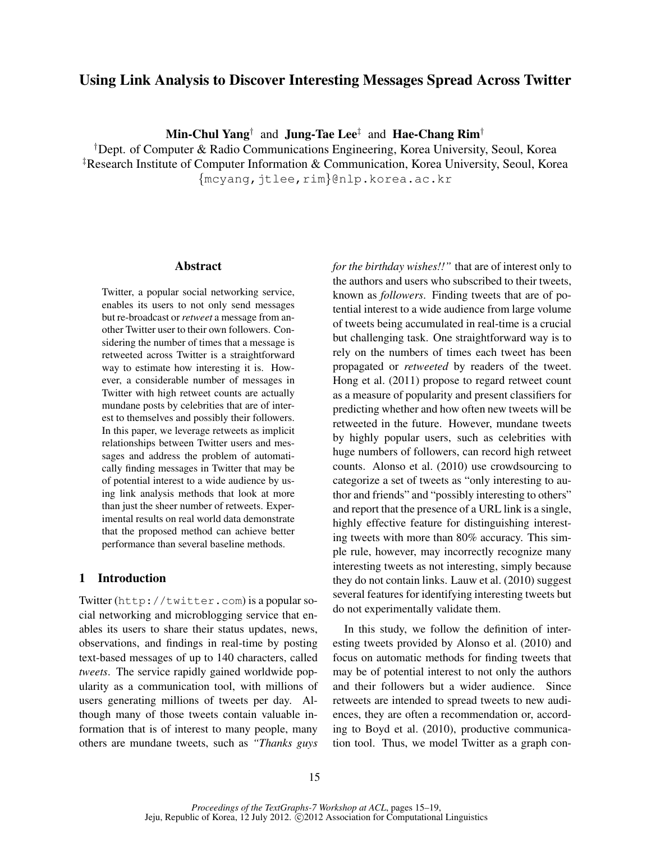# Using Link Analysis to Discover Interesting Messages Spread Across Twitter

 $\mathbf{Min}\text{-}\mathbf{Chul Yang}^\dagger$  and  $\mathbf{June}\text{-}\mathbf{Tae}\ \mathbf{Lee}^\ddagger$  and  $\mathbf{Hae}\text{-}\mathbf{Chang}\ \mathbf{Rim}^\dagger$ 

†Dept. of Computer & Radio Communications Engineering, Korea University, Seoul, Korea ‡Research Institute of Computer Information & Communication, Korea University, Seoul, Korea {mcyang,jtlee,rim}@nlp.korea.ac.kr

#### Abstract

Twitter, a popular social networking service, enables its users to not only send messages but re-broadcast or *retweet* a message from another Twitter user to their own followers. Considering the number of times that a message is retweeted across Twitter is a straightforward way to estimate how interesting it is. However, a considerable number of messages in Twitter with high retweet counts are actually mundane posts by celebrities that are of interest to themselves and possibly their followers. In this paper, we leverage retweets as implicit relationships between Twitter users and messages and address the problem of automatically finding messages in Twitter that may be of potential interest to a wide audience by using link analysis methods that look at more than just the sheer number of retweets. Experimental results on real world data demonstrate that the proposed method can achieve better performance than several baseline methods.

## 1 Introduction

Twitter (http://twitter.com) is a popular social networking and microblogging service that enables its users to share their status updates, news, observations, and findings in real-time by posting text-based messages of up to 140 characters, called *tweets*. The service rapidly gained worldwide popularity as a communication tool, with millions of users generating millions of tweets per day. Although many of those tweets contain valuable information that is of interest to many people, many others are mundane tweets, such as *"Thanks guys* *for the birthday wishes!!"* that are of interest only to the authors and users who subscribed to their tweets, known as *followers*. Finding tweets that are of potential interest to a wide audience from large volume of tweets being accumulated in real-time is a crucial but challenging task. One straightforward way is to rely on the numbers of times each tweet has been propagated or *retweeted* by readers of the tweet. Hong et al. (2011) propose to regard retweet count as a measure of popularity and present classifiers for predicting whether and how often new tweets will be retweeted in the future. However, mundane tweets by highly popular users, such as celebrities with huge numbers of followers, can record high retweet counts. Alonso et al. (2010) use crowdsourcing to categorize a set of tweets as "only interesting to author and friends" and "possibly interesting to others" and report that the presence of a URL link is a single, highly effective feature for distinguishing interesting tweets with more than 80% accuracy. This simple rule, however, may incorrectly recognize many interesting tweets as not interesting, simply because they do not contain links. Lauw et al. (2010) suggest several features for identifying interesting tweets but do not experimentally validate them.

In this study, we follow the definition of interesting tweets provided by Alonso et al. (2010) and focus on automatic methods for finding tweets that may be of potential interest to not only the authors and their followers but a wider audience. Since retweets are intended to spread tweets to new audiences, they are often a recommendation or, according to Boyd et al. (2010), productive communication tool. Thus, we model Twitter as a graph con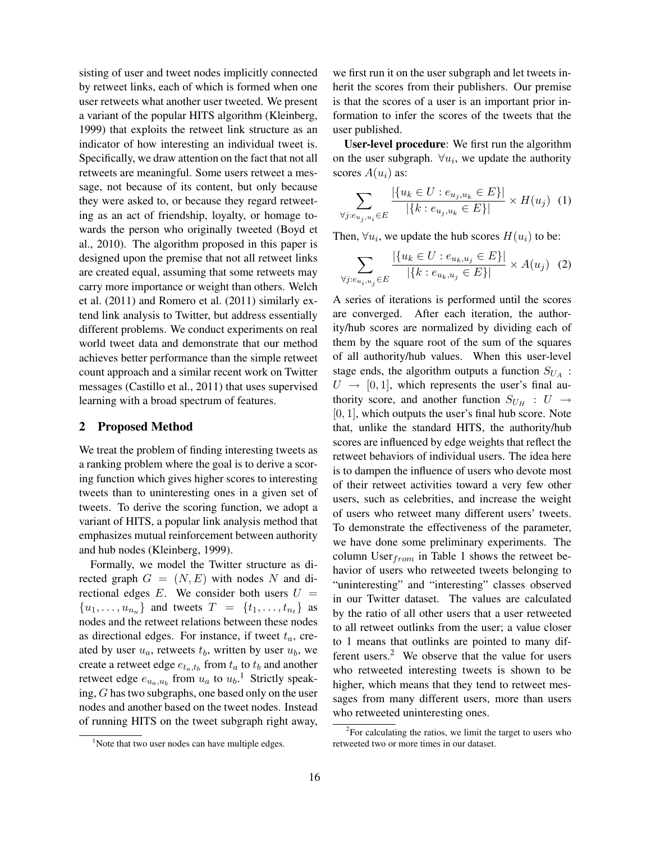sisting of user and tweet nodes implicitly connected by retweet links, each of which is formed when one user retweets what another user tweeted. We present a variant of the popular HITS algorithm (Kleinberg, 1999) that exploits the retweet link structure as an indicator of how interesting an individual tweet is. Specifically, we draw attention on the fact that not all retweets are meaningful. Some users retweet a message, not because of its content, but only because they were asked to, or because they regard retweeting as an act of friendship, loyalty, or homage towards the person who originally tweeted (Boyd et al., 2010). The algorithm proposed in this paper is designed upon the premise that not all retweet links are created equal, assuming that some retweets may carry more importance or weight than others. Welch et al. (2011) and Romero et al. (2011) similarly extend link analysis to Twitter, but address essentially different problems. We conduct experiments on real world tweet data and demonstrate that our method achieves better performance than the simple retweet count approach and a similar recent work on Twitter messages (Castillo et al., 2011) that uses supervised learning with a broad spectrum of features.

#### 2 Proposed Method

We treat the problem of finding interesting tweets as a ranking problem where the goal is to derive a scoring function which gives higher scores to interesting tweets than to uninteresting ones in a given set of tweets. To derive the scoring function, we adopt a variant of HITS, a popular link analysis method that emphasizes mutual reinforcement between authority and hub nodes (Kleinberg, 1999).

Formally, we model the Twitter structure as directed graph  $G = (N, E)$  with nodes N and directional edges  $E$ . We consider both users  $U =$  ${u_1, \ldots, u_{n_u}}$  and tweets  $T = {t_1, \ldots, t_{n_t}}$  as nodes and the retweet relations between these nodes as directional edges. For instance, if tweet  $t_a$ , created by user  $u_a$ , retweets  $t_b$ , written by user  $u_b$ , we create a retweet edge  $e_{t_a,t_b}$  from  $t_a$  to  $t_b$  and another retweet edge  $e_{u_a, u_b}$  from  $u_a$  to  $u_b$ .<sup>1</sup> Strictly speaking, G has two subgraphs, one based only on the user nodes and another based on the tweet nodes. Instead of running HITS on the tweet subgraph right away, we first run it on the user subgraph and let tweets inherit the scores from their publishers. Our premise is that the scores of a user is an important prior information to infer the scores of the tweets that the user published.

User-level procedure: We first run the algorithm on the user subgraph.  $\forall u_i$ , we update the authority scores  $A(u_i)$  as:

$$
\sum_{\forall j: e_{u_j, u_i} \in E} \frac{|\{u_k \in U : e_{u_j, u_k} \in E\}|}{|\{k : e_{u_j, u_k} \in E\}|} \times H(u_j) \tag{1}
$$

Then,  $\forall u_i$ , we update the hub scores  $H(u_i)$  to be:

$$
\sum_{\forall j: e_{u_i, u_j} \in E} \frac{|\{u_k \in U : e_{u_k, u_j} \in E\}|}{|\{k : e_{u_k, u_j} \in E\}|} \times A(u_j) \tag{2}
$$

A series of iterations is performed until the scores are converged. After each iteration, the authority/hub scores are normalized by dividing each of them by the square root of the sum of the squares of all authority/hub values. When this user-level stage ends, the algorithm outputs a function  $S_{U_A}$ :  $U \rightarrow [0, 1]$ , which represents the user's final authority score, and another function  $S_{U_H}$ :  $U \rightarrow$  $[0, 1]$ , which outputs the user's final hub score. Note that, unlike the standard HITS, the authority/hub scores are influenced by edge weights that reflect the retweet behaviors of individual users. The idea here is to dampen the influence of users who devote most of their retweet activities toward a very few other users, such as celebrities, and increase the weight of users who retweet many different users' tweets. To demonstrate the effectiveness of the parameter, we have done some preliminary experiments. The column User $_{from}$  in Table 1 shows the retweet behavior of users who retweeted tweets belonging to "uninteresting" and "interesting" classes observed in our Twitter dataset. The values are calculated by the ratio of all other users that a user retweeted to all retweet outlinks from the user; a value closer to 1 means that outlinks are pointed to many different users. $<sup>2</sup>$  We observe that the value for users</sup> who retweeted interesting tweets is shown to be higher, which means that they tend to retweet messages from many different users, more than users who retweeted uninteresting ones.

<sup>&</sup>lt;sup>1</sup>Note that two user nodes can have multiple edges.

 $2$ For calculating the ratios, we limit the target to users who retweeted two or more times in our dataset.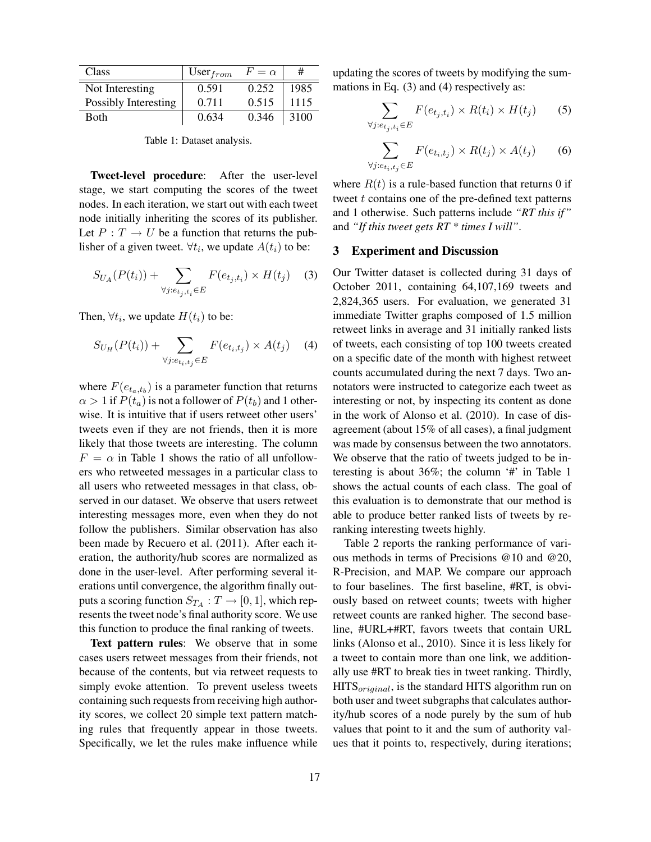| Class                | User $_{from}$ | $F = \alpha$ | #    |
|----------------------|----------------|--------------|------|
| Not Interesting      | 0.591          | 0.252        | 1985 |
| Possibly Interesting | 0.711          | 0.515        | 1115 |
| <b>Both</b>          | 0.634          | 0.346        | 3100 |

Table 1: Dataset analysis.

Tweet-level procedure: After the user-level stage, we start computing the scores of the tweet nodes. In each iteration, we start out with each tweet node initially inheriting the scores of its publisher. Let  $P: T \to U$  be a function that returns the publisher of a given tweet.  $\forall t_i$ , we update  $A(t_i)$  to be:

$$
S_{U_A}(P(t_i)) + \sum_{\forall j: e_{t_j, t_i} \in E} F(e_{t_j, t_i}) \times H(t_j) \quad (3)
$$

Then,  $\forall t_i$ , we update  $H(t_i)$  to be:

$$
S_{U_H}(P(t_i)) + \sum_{\forall j: e_{t_i, t_j} \in E} F(e_{t_i, t_j}) \times A(t_j) \quad (4)
$$

where  $F(e_{t_a,t_b})$  is a parameter function that returns  $\alpha > 1$  if  $P(t_a)$  is not a follower of  $P(t_b)$  and 1 otherwise. It is intuitive that if users retweet other users' tweets even if they are not friends, then it is more likely that those tweets are interesting. The column  $F = \alpha$  in Table 1 shows the ratio of all unfollowers who retweeted messages in a particular class to all users who retweeted messages in that class, observed in our dataset. We observe that users retweet interesting messages more, even when they do not follow the publishers. Similar observation has also been made by Recuero et al. (2011). After each iteration, the authority/hub scores are normalized as done in the user-level. After performing several iterations until convergence, the algorithm finally outputs a scoring function  $S_{T_A}: T \to [0,1],$  which represents the tweet node's final authority score. We use this function to produce the final ranking of tweets.

Text pattern rules: We observe that in some cases users retweet messages from their friends, not because of the contents, but via retweet requests to simply evoke attention. To prevent useless tweets containing such requests from receiving high authority scores, we collect 20 simple text pattern matching rules that frequently appear in those tweets. Specifically, we let the rules make influence while

updating the scores of tweets by modifying the summations in Eq. (3) and (4) respectively as:

$$
\sum_{\forall j: e_{t_j, t_i} \in E} F(e_{t_j, t_i}) \times R(t_i) \times H(t_j) \tag{5}
$$

$$
\sum_{\forall j: e_{t_i, t_j} \in E} F(e_{t_i, t_j}) \times R(t_j) \times A(t_j) \tag{6}
$$

where  $R(t)$  is a rule-based function that returns 0 if tweet  $t$  contains one of the pre-defined text patterns and 1 otherwise. Such patterns include *"RT this if"* and *"If this tweet gets RT \* times I will"*.

#### 3 Experiment and Discussion

Our Twitter dataset is collected during 31 days of October 2011, containing 64,107,169 tweets and 2,824,365 users. For evaluation, we generated 31 immediate Twitter graphs composed of 1.5 million retweet links in average and 31 initially ranked lists of tweets, each consisting of top 100 tweets created on a specific date of the month with highest retweet counts accumulated during the next 7 days. Two annotators were instructed to categorize each tweet as interesting or not, by inspecting its content as done in the work of Alonso et al. (2010). In case of disagreement (about 15% of all cases), a final judgment was made by consensus between the two annotators. We observe that the ratio of tweets judged to be interesting is about 36%; the column '#' in Table 1 shows the actual counts of each class. The goal of this evaluation is to demonstrate that our method is able to produce better ranked lists of tweets by reranking interesting tweets highly.

Table 2 reports the ranking performance of various methods in terms of Precisions @10 and @20, R-Precision, and MAP. We compare our approach to four baselines. The first baseline, #RT, is obviously based on retweet counts; tweets with higher retweet counts are ranked higher. The second baseline, #URL+#RT, favors tweets that contain URL links (Alonso et al., 2010). Since it is less likely for a tweet to contain more than one link, we additionally use #RT to break ties in tweet ranking. Thirdly,  $HITS_{original}$ , is the standard HITS algorithm run on both user and tweet subgraphs that calculates authority/hub scores of a node purely by the sum of hub values that point to it and the sum of authority values that it points to, respectively, during iterations;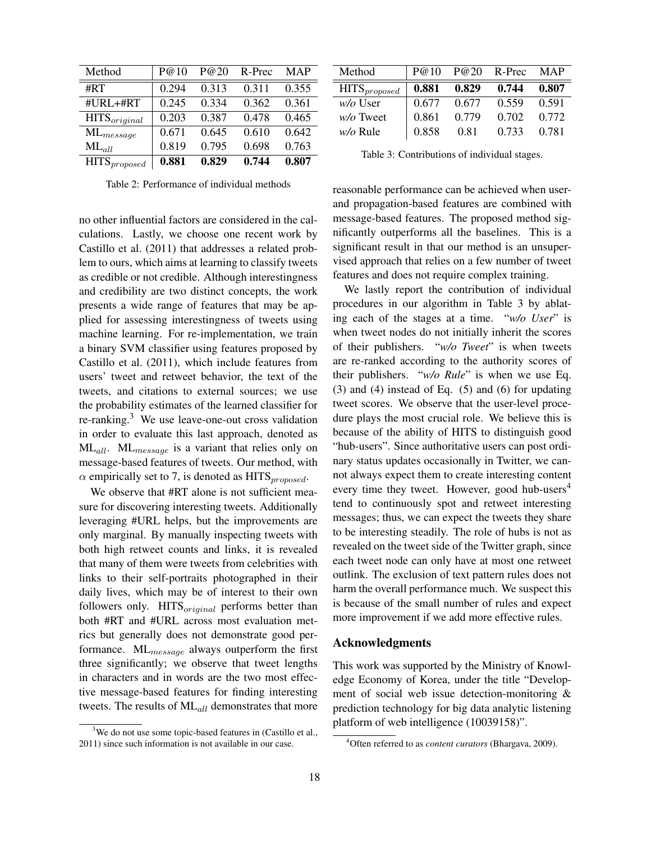| Method            | P@10  | P@20  | R-Prec | <b>MAP</b> |
|-------------------|-------|-------|--------|------------|
| #RT               | 0.294 | 0.313 | 0.311  | 0.355      |
| #URL+#RT          | 0.245 | 0.334 | 0.362  | 0.361      |
| $HITS_{original}$ | 0.203 | 0.387 | 0.478  | 0.465      |
| $ML_{message}$    | 0.671 | 0.645 | 0.610  | 0.642      |
| $ML_{all}$        | 0.819 | 0.795 | 0.698  | 0.763      |
| $HITS_{proposed}$ | 0.881 | 0.829 | 0.744  | 0.807      |

Table 2: Performance of individual methods

no other influential factors are considered in the calculations. Lastly, we choose one recent work by Castillo et al. (2011) that addresses a related problem to ours, which aims at learning to classify tweets as credible or not credible. Although interestingness and credibility are two distinct concepts, the work presents a wide range of features that may be applied for assessing interestingness of tweets using machine learning. For re-implementation, we train a binary SVM classifier using features proposed by Castillo et al. (2011), which include features from users' tweet and retweet behavior, the text of the tweets, and citations to external sources; we use the probability estimates of the learned classifier for re-ranking. $3$  We use leave-one-out cross validation in order to evaluate this last approach, denoted as  $ML_{all}$ .  $ML_{message}$  is a variant that relies only on message-based features of tweets. Our method, with  $\alpha$  empirically set to 7, is denoted as HITS<sub>proposed</sub>.

We observe that #RT alone is not sufficient measure for discovering interesting tweets. Additionally leveraging #URL helps, but the improvements are only marginal. By manually inspecting tweets with both high retweet counts and links, it is revealed that many of them were tweets from celebrities with links to their self-portraits photographed in their daily lives, which may be of interest to their own followers only.  $HITS_{original}$  performs better than both #RT and #URL across most evaluation metrics but generally does not demonstrate good performance. ML<sub>message</sub> always outperform the first three significantly; we observe that tweet lengths in characters and in words are the two most effective message-based features for finding interesting tweets. The results of  $ML_{all}$  demonstrates that more

| Method            | P@10  | P@20  | R-Prec | <b>MAP</b> |
|-------------------|-------|-------|--------|------------|
| $HITS_{proposed}$ | 0.881 | 0.829 | 0.744  | 0.807      |
| $w/o$ User        | 0.677 | 0.677 | 0.559  | 0.591      |
| $w/o$ Tweet       | 0.861 | 0.779 | 0.702  | 0.772      |
| $w/o$ Rule        | 0.858 | 0.81  | 0.733  | 0.781      |

Table 3: Contributions of individual stages.

reasonable performance can be achieved when userand propagation-based features are combined with message-based features. The proposed method significantly outperforms all the baselines. This is a significant result in that our method is an unsupervised approach that relies on a few number of tweet features and does not require complex training.

We lastly report the contribution of individual procedures in our algorithm in Table 3 by ablating each of the stages at a time. "*w/o User*" is when tweet nodes do not initially inherit the scores of their publishers. "*w/o Tweet*" is when tweets are re-ranked according to the authority scores of their publishers. "*w/o Rule*" is when we use Eq. (3) and (4) instead of Eq. (5) and (6) for updating tweet scores. We observe that the user-level procedure plays the most crucial role. We believe this is because of the ability of HITS to distinguish good "hub-users". Since authoritative users can post ordinary status updates occasionally in Twitter, we cannot always expect them to create interesting content every time they tweet. However, good hub-users $4$ tend to continuously spot and retweet interesting messages; thus, we can expect the tweets they share to be interesting steadily. The role of hubs is not as revealed on the tweet side of the Twitter graph, since each tweet node can only have at most one retweet outlink. The exclusion of text pattern rules does not harm the overall performance much. We suspect this is because of the small number of rules and expect more improvement if we add more effective rules.

### Acknowledgments

This work was supported by the Ministry of Knowledge Economy of Korea, under the title "Development of social web issue detection-monitoring & prediction technology for big data analytic listening platform of web intelligence (10039158)".

<sup>&</sup>lt;sup>3</sup>We do not use some topic-based features in (Castillo et al., 2011) since such information is not available in our case.

<sup>4</sup>Often referred to as *content curators* (Bhargava, 2009).